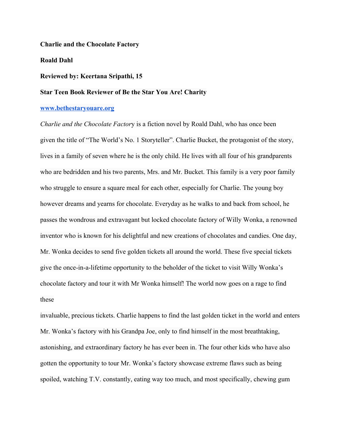#### **Charlie and the Chocolate Factory**

### **Roald Dahl**

### **Reviewed by: Keertana Sripathi, 15**

# **Star Teen Book Reviewer of Be the Star You Are! Charity**

## **[www.bethestaryouare.org](http://www.bethestaryouare.org/)**

*Charlie and the Chocolate Factor*y is a fiction novel by Roald Dahl, who has once been given the title of "The World's No. 1 Storyteller". Charlie Bucket, the protagonist of the story, lives in a family of seven where he is the only child. He lives with all four of his grandparents who are bedridden and his two parents, Mrs. and Mr. Bucket. This family is a very poor family who struggle to ensure a square meal for each other, especially for Charlie. The young boy however dreams and yearns for chocolate. Everyday as he walks to and back from school, he passes the wondrous and extravagant but locked chocolate factory of Willy Wonka, a renowned inventor who is known for his delightful and new creations of chocolates and candies. One day, Mr. Wonka decides to send five golden tickets all around the world. These five special tickets give the once-in-a-lifetime opportunity to the beholder of the ticket to visit Willy Wonka's chocolate factory and tour it with Mr Wonka himself! The world now goes on a rage to find these

invaluable, precious tickets. Charlie happens to find the last golden ticket in the world and enters Mr. Wonka's factory with his Grandpa Joe, only to find himself in the most breathtaking, astonishing, and extraordinary factory he has ever been in. The four other kids who have also gotten the opportunity to tour Mr. Wonka's factory showcase extreme flaws such as being spoiled, watching T.V. constantly, eating way too much, and most specifically, chewing gum